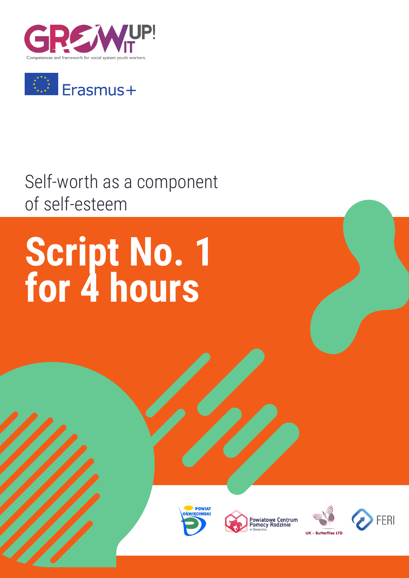



### Self-worth as a component of self-esteem

# **Script No. 1 for 4 hours**







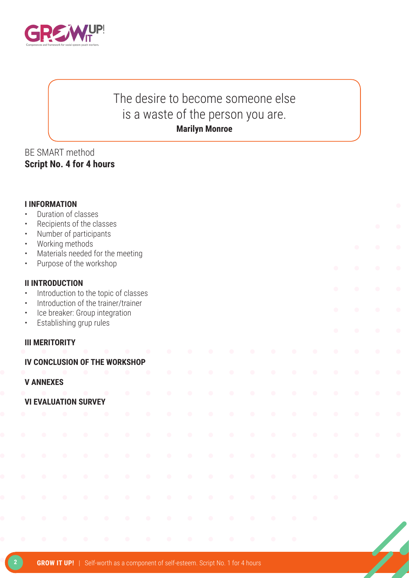

### The desire to become someone else is a waste of the person you are. **Marilyn Monroe**

#### BE SMART method **Script No. 4 for 4 hours**

| $\bullet$<br>$\bullet$              | <b>I INFORMATION</b>                 |                 | Duration of classes     | Recipients of the classes                                             |           |           |           |           |           |           |           |           |  |           |           |           | $\bullet$ |
|-------------------------------------|--------------------------------------|-----------------|-------------------------|-----------------------------------------------------------------------|-----------|-----------|-----------|-----------|-----------|-----------|-----------|-----------|--|-----------|-----------|-----------|-----------|
| $\bullet$<br>$\bullet$              |                                      | Working methods | Number of participants  |                                                                       |           |           |           |           |           |           |           |           |  |           | $\bullet$ | ◠         |           |
| $\bullet$<br>$\bullet$              |                                      |                 |                         | Materials needed for the meeting<br>Purpose of the workshop           |           |           |           |           |           |           |           |           |  |           |           |           |           |
| $\bullet$                           | <b>II INTRODUCTION</b>               |                 |                         | Introduction to the topic of classes                                  |           |           |           |           |           |           |           |           |  | $\bullet$ | $\bullet$ | $\bullet$ |           |
| $\bullet$<br>$\bullet$<br>$\bullet$ |                                      |                 | Establishing grup rules | Introduction of the trainer/trainer<br>Ice breaker: Group integration |           |           |           |           |           |           |           |           |  |           | $\bullet$ | $\bullet$ |           |
|                                     | <b>III MERITORITY</b>                |                 |                         |                                                                       |           |           |           |           |           |           |           |           |  |           |           |           |           |
|                                     | <b>IV CONCLUSION OF THE WORKSHOP</b> |                 |                         |                                                                       |           |           |           |           |           |           |           |           |  |           |           |           |           |
|                                     |                                      |                 |                         |                                                                       |           |           | $\bullet$ | $\bullet$ | $\bullet$ | $\bullet$ | $\bullet$ |           |  |           |           |           |           |
|                                     | <b>V ANNEXES</b>                     |                 |                         |                                                                       |           |           |           |           |           |           |           |           |  |           |           |           |           |
|                                     | <b>VI EVALUATION SURVEY</b>          |                 |                         |                                                                       | $\bullet$ | $\bullet$ | $\bullet$ | $\bullet$ | $\bullet$ | $\bullet$ | $\bullet$ | $\bullet$ |  |           |           |           |           |
|                                     |                                      |                 |                         |                                                                       |           | $\bullet$ | $\bullet$ | $\bullet$ |           |           |           |           |  |           |           |           |           |
|                                     |                                      |                 |                         |                                                                       |           | c         | $\bullet$ | œ         | a.        |           |           |           |  |           |           |           |           |
|                                     | œ                                    | $\bullet$       | $\bullet$               | $\bullet$                                                             | $\bullet$ | $\bullet$ | $\bullet$ | $\bullet$ | $\bullet$ | $\bullet$ | $\bullet$ |           |  |           |           |           |           |
|                                     |                                      |                 | ∩                       |                                                                       | $\bullet$ | $\bullet$ | $\bullet$ | $\bullet$ | $\bullet$ | c         |           |           |  |           |           |           |           |
|                                     |                                      |                 |                         |                                                                       |           |           |           |           |           |           |           |           |  |           |           |           |           |
|                                     |                                      |                 |                         |                                                                       |           |           |           |           |           |           |           |           |  |           |           |           |           |
|                                     |                                      |                 |                         |                                                                       |           |           |           |           |           |           |           |           |  |           |           |           |           |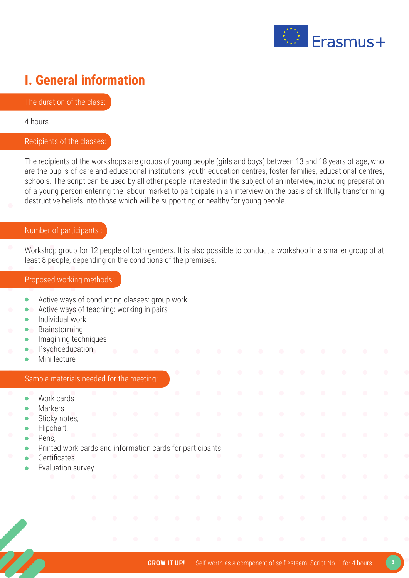

### **I. General information**

The duration of the class:

4 hours

#### Recipients of the classes:

The recipients of the workshops are groups of young people (girls and boys) between 13 and 18 years of age, who are the pupils of care and educational institutions, youth education centres, foster families, educational centres, schools. The script can be used by all other people interested in the subject of an interview, including preparation of a young person entering the labour market to participate in an interview on the basis of skillfully transforming destructive beliefs into those which will be supporting or healthy for young people.

#### Number of participants :

Workshop group for 12 people of both genders. It is also possible to conduct a workshop in a smaller group of at least 8 people, depending on the conditions of the premises.

#### Proposed working methods:

- Active ways of conducting classes: group work  $\bullet$
- Active ways of teaching: working in pairs  $\bullet$
- Individual work  $\bullet$
- Brainstorming
- Imagining techniques
- Psychoeducation
- Mini lecture

#### Sample materials needed for the meeting:

- Work cards
- Markers
- Sticky notes,
- Flipchart,
- Pens,
- Printed work cards and information cards for participants
- **Certificates**
- Evaluation survey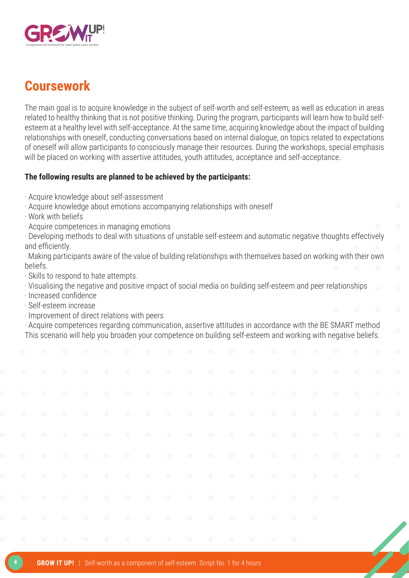

### **Coursework**

The main goal is to acquire knowledge in the subject of self-worth and self-esteem, as well as education in areas related to healthy thinking that is not positive thinking. During the program, participants will learn how to build selfesteem at a healthy level with self-acceptance. At the same time, acquiring knowledge about the impact of building relationships with oneself, conducting conversations based on internal dialogue, on topics related to expectations of oneself will allow participants to consciously manage their resources. During the workshops, special emphasis will be placed on working with assertive attitudes, youth attitudes, acceptance and self-acceptance.

#### **The following results are planned to be achieved by the participants:**

- · Acquire knowledge about self-assessment
- · Acquire knowledge about emotions accompanying relationships with oneself
- · Work with beliefs
- · Acquire competences in managing emotions

· Developing methods to deal with situations of unstable self-esteem and automatic negative thoughts effectively and efficiently.

· Making participants aware of the value of building relationships with themselves based on working with their own beliefs.

· Skills to respond to hate attempts.

· Visualising the negative and positive impact of social media on building self-esteem and peer relationships

- · Increased confidence
- · Self-esteem increase
- · Improvement of direct relations with peers

· Acquire competences regarding communication, assertive attitudes in accordance with the BE SMART method This scenario will help you broaden your competence on building self-esteem and working with negative beliefs.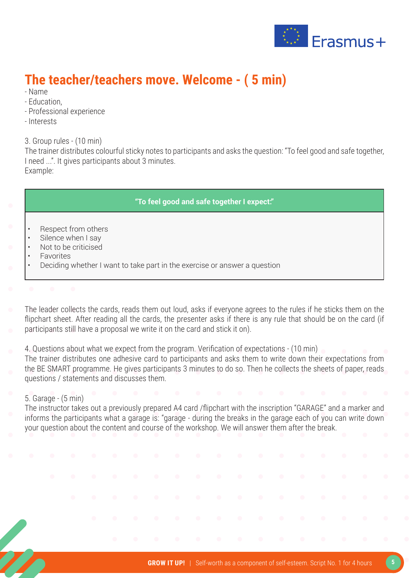

### **The teacher/teachers move. Welcome - ( 5 min)**

- Name
- Education,
- Professional experience
- Interests

3. Group rules - (10 min)

The trainer distributes colourful sticky notes to participants and asks the question: "To feel good and safe together, I need ...". It gives participants about 3 minutes. Example:

#### **"To feel good and safe together I expect:"**

- Respect from others
- Silence when I say
- Not to be criticised
- **Favorites**
- Deciding whether I want to take part in the exercise or answer a question
- 
- The leader collects the cards, reads them out loud, asks if everyone agrees to the rules if he sticks them on the flipchart sheet. After reading all the cards, the presenter asks if there is any rule that should be on the card (if participants still have a proposal we write it on the card and stick it on).
- 4. Questions about what we expect from the program. Verification of expectations (10 min)
- The trainer distributes one adhesive card to participants and asks them to write down their expectations from the BE SMART programme. He gives participants 3 minutes to do so. Then he collects the sheets of paper, reads questions / statements and discusses them.

#### 5. Garage - (5 min)

The instructor takes out a previously prepared A4 card /flipchart with the inscription "GARAGE" and a marker and informs the participants what a garage is: "garage - during the breaks in the garage each of you can write down your question about the content and course of the workshop. We will answer them after the break.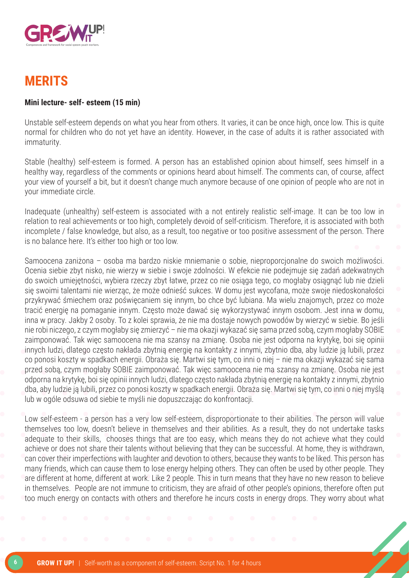

### **MERITS**

#### **Mini lecture- self- esteem (15 min)**

Unstable self-esteem depends on what you hear from others. It varies, it can be once high, once low. This is quite normal for children who do not yet have an identity. However, in the case of adults it is rather associated with immaturity.

Stable (healthy) self-esteem is formed. A person has an established opinion about himself, sees himself in a healthy way, regardless of the comments or opinions heard about himself. The comments can, of course, affect your view of yourself a bit, but it doesn't change much anymore because of one opinion of people who are not in your immediate circle.

Inadequate (unhealthy) self-esteem is associated with a not entirely realistic self-image. It can be too low in relation to real achievements or too high, completely devoid of self-criticism. Therefore, it is associated with both incomplete / false knowledge, but also, as a result, too negative or too positive assessment of the person. There is no balance here. It's either too high or too low.

Samoocena zaniżona – osoba ma bardzo niskie mniemanie o sobie, nieproporcjonalne do swoich możliwości. Ocenia siebie zbyt nisko, nie wierzy w siebie i swoje zdolności. W efekcie nie podejmuje się zadań adekwatnych do swoich umiejętności, wybiera rzeczy zbyt łatwe, przez co nie osiąga tego, co mogłaby osiągnąć lub nie dzieli się swoimi talentami nie wierząc, że może odnieść sukces. W domu jest wycofana, może swoje niedoskonałości przykrywać śmiechem oraz poświęcaniem się innym, bo chce być lubiana. Ma wielu znajomych, przez co może tracić energię na pomaganie innym. Często może dawać się wykorzystywać innym osobom. Jest inna w domu, inna w pracy. Jakby 2 osoby. To z kolei sprawia, że nie ma dostaje nowych powodów by wierzyć w siebie. Bo jeśli nie robi niczego, z czym mogłaby się zmierzyć – nie ma okazji wykazać się sama przed sobą, czym mogłaby SOBIE zaimponować. Tak więc samoocena nie ma szansy na zmianę. Osoba nie jest odporna na krytykę, boi się opinii innych ludzi, dlatego często nakłada zbytnią energię na kontakty z innymi, zbytnio dba, aby ludzie ją lubili, przez co ponosi koszty w spadkach energii. Obraża się. Martwi się tym, co inni o niej – nie ma okazji wykazać się sama przed sobą, czym mogłaby SOBIE zaimponować. Tak więc samoocena nie ma szansy na zmianę. Osoba nie jest odporna na krytykę, boi się opinii innych ludzi, dlatego często nakłada zbytnią energię na kontakty z innymi, zbytnio dba, aby ludzie ją lubili, przez co ponosi koszty w spadkach energii. Obraża się. Martwi się tym, co inni o niej myślą lub w ogóle odsuwa od siebie te myśli nie dopuszczając do konfrontacji.

Low self-esteem - a person has a very low self-esteem, disproportionate to their abilities. The person will value themselves too low, doesn't believe in themselves and their abilities. As a result, they do not undertake tasks adequate to their skills, chooses things that are too easy, which means they do not achieve what they could achieve or does not share their talents without believing that they can be successful. At home, they is withdrawn, can cover their imperfections with laughter and devotion to others, because they wants to be liked. This person has many friends, which can cause them to lose energy helping others. They can often be used by other people. They are different at home, different at work. Like 2 people. This in turn means that they have no new reason to believe in themselves. People are not immune to criticism, they are afraid of other people's opinions, therefore often put too much energy on contacts with others and therefore he incurs costs in energy drops. They worry about what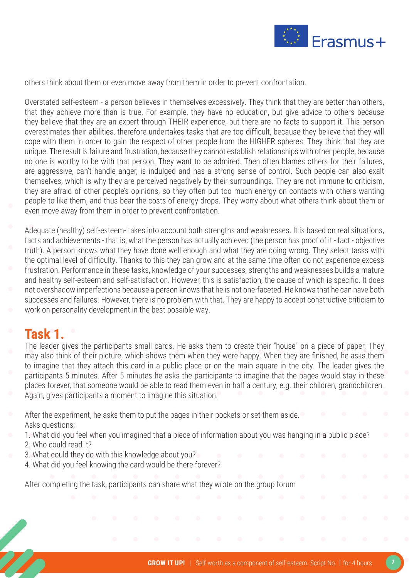

others think about them or even move away from them in order to prevent confrontation.

Overstated self-esteem - a person believes in themselves excessively. They think that they are better than others, that they achieve more than is true. For example, they have no education, but give advice to others because they believe that they are an expert through THEIR experience, but there are no facts to support it. This person overestimates their abilities, therefore undertakes tasks that are too difficult, because they believe that they will cope with them in order to gain the respect of other people from the HIGHER spheres. They think that they are unique. The result is failure and frustration, because they cannot establish relationships with other people, because no one is worthy to be with that person. They want to be admired. Then often blames others for their failures, are aggressive, can't handle anger, is indulged and has a strong sense of control. Such people can also exalt themselves, which is why they are perceived negatively by their surroundings. They are not immune to criticism, they are afraid of other people's opinions, so they often put too much energy on contacts with others wanting people to like them, and thus bear the costs of energy drops. They worry about what others think about them or even move away from them in order to prevent confrontation.

Adequate (healthy) self-esteem- takes into account both strengths and weaknesses. It is based on real situations, facts and achievements - that is, what the person has actually achieved (the person has proof of it - fact - objective truth). A person knows what they have done well enough and what they are doing wrong. They select tasks with the optimal level of difficulty. Thanks to this they can grow and at the same time often do not experience excess frustration. Performance in these tasks, knowledge of your successes, strengths and weaknesses builds a mature and healthy self-esteem and self-satisfaction. However, this is satisfaction, the cause of which is specific. It does not overshadow imperfections because a person knows that he is not one-faceted. He knows that he can have both successes and failures. However, there is no problem with that. They are happy to accept constructive criticism to work on personality development in the best possible way.

### **Task 1.**

The leader gives the participants small cards. He asks them to create their "house" on a piece of paper. They may also think of their picture, which shows them when they were happy. When they are finished, he asks them to imagine that they attach this card in a public place or on the main square in the city. The leader gives the participants 5 minutes. After 5 minutes he asks the participants to imagine that the pages would stay in these places forever, that someone would be able to read them even in half a century, e.g. their children, grandchildren. Again, gives participants a moment to imagine this situation.

- After the experiment, he asks them to put the pages in their pockets or set them aside. Asks questions;
- 1. What did you feel when you imagined that a piece of information about you was hanging in a public place? 2. Who could read it?
- 3. What could they do with this knowledge about you?
- 4. What did you feel knowing the card would be there forever?

After completing the task, participants can share what they wrote on the group forum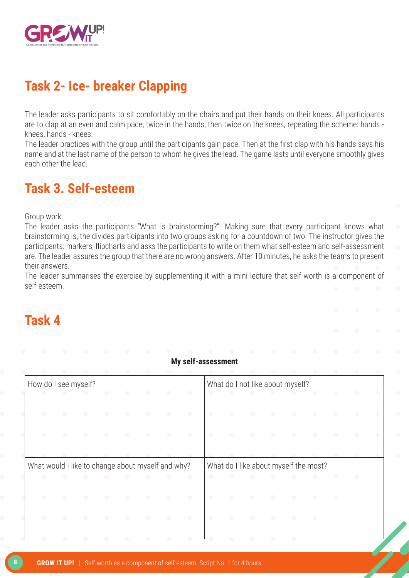

### **Task 2- Ice- breaker Clapping**

The leader asks participants to sit comfortably on the chairs and put their hands on their knees. All participants are to clap at an even and calm pace; twice in the hands, then twice on the knees, repeating the scheme: hands knees, hands - knees.

The leader practices with the group until the participants gain pace. Then at the first clap with his hands says his name and at the last name of the person to whom he gives the lead. The game lasts until everyone smoothly gives each other the lead.

### **Task 3. Self-esteem**

Group work

The leader asks the participants "What is brainstorming?". Making sure that every participant knows what brainstorming is, the divides participants into two groups asking for a countdown of two. The instructor gives the participants: markers, flipcharts and asks the participants to write on them what self-esteem and self-assessment are. The leader assures the group that there are no wrong answers. After 10 minutes, he asks the teams to present their answers.

The leader summarises the exercise by supplementing it with a mini lecture that self-worth is a component of self-esteem.

**My self-assessment** 

### **Task 4**

|                                                   |           |           |               |           |           |           | <b>MY SEII-ASSESSINEIII</b> |           |                |                                       |                     |           |                                                   |           |           |           |
|---------------------------------------------------|-----------|-----------|---------------|-----------|-----------|-----------|-----------------------------|-----------|----------------|---------------------------------------|---------------------|-----------|---------------------------------------------------|-----------|-----------|-----------|
|                                                   | $\bullet$ | $\bullet$ | $\bullet$     |           |           | $\bullet$ |                             |           |                | $\bullet$                             | $\bullet$           | $\bullet$ | $\bullet$                                         |           |           |           |
| How do I see myself?                              |           |           |               |           |           |           |                             |           |                | What do I not like about myself?      |                     |           |                                                   |           |           |           |
| $\bullet$                                         | $\bullet$ | $\bullet$ | $\bullet$     | $\bullet$ | $\bullet$ | $\bullet$ | $\bullet$                   | $\bullet$ | $\bullet$      | $\langle \cdot \rangle$               | $\bullet$           | $\bullet$ | $\bullet$                                         | $\bullet$ | $\bullet$ | $\bullet$ |
| $\bullet$                                         | $\bullet$ | $\bullet$ |               |           | $\bullet$ | $\bullet$ | $\bullet$                   | $\bullet$ | $\blacksquare$ | $\bullet$                             | $\bullet$           |           |                                                   |           |           | $\bullet$ |
| $\bullet$                                         | $\bullet$ | $\bullet$ |               | $\bullet$ | $\bullet$ | $\bullet$ | $\bullet$                   | $\bullet$ | $\bullet$      | $\bullet$                             | $\bullet$           |           |                                                   |           |           |           |
|                                                   |           |           |               |           |           |           |                             |           |                |                                       |                     |           |                                                   |           |           |           |
| What would I like to change about myself and why? |           |           |               |           |           |           |                             |           |                | What do I like about myself the most? |                     |           |                                                   |           |           |           |
| $\bullet$                                         | $\bullet$ | $\bullet$ | $\sim$ $\sim$ | $\sim$ 0  | $\bullet$ |           |                             | $\bullet$ | $\bullet$      |                                       | $\bullet$ $\bullet$ | $\bullet$ | $\begin{array}{c} \bullet \\ \bullet \end{array}$ | $\bullet$ | $\bullet$ |           |
| $\bullet$                                         | $\bullet$ | $\bullet$ |               |           | $\bullet$ | $\bullet$ | $\bullet$                   | $\bullet$ | $\bullet$      | $\bullet$                             |                     |           | $\bullet$                                         | $\bullet$ |           |           |
| $\bullet$                                         | $\bullet$ | $\bullet$ |               | $\bullet$ | $\bullet$ | $\bullet$ | $\bullet$                   | $\bullet$ | $\bullet$      | $\bullet$                             | $\bullet$           | $\bullet$ | $\bullet$                                         |           |           |           |
|                                                   |           |           |               |           |           |           |                             |           |                |                                       |                     |           |                                                   |           |           |           |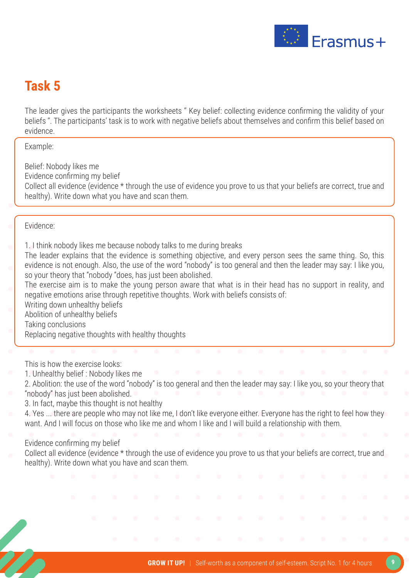

### **Task 5**

The leader gives the participants the worksheets '' Key belief: collecting evidence confirming the validity of your beliefs ''. The participants' task is to work with negative beliefs about themselves and confirm this belief based on evidence.

Example:

Belief: Nobody likes me Evidence confirming my belief Collect all evidence (evidence \* through the use of evidence you prove to us that your beliefs are correct, true and healthy). Write down what you have and scan them.

#### Evidence:

- 1. I think nobody likes me because nobody talks to me during breaks
- The leader explains that the evidence is something objective, and every person sees the same thing. So, this evidence is not enough. Also, the use of the word "nobody" is too general and then the leader may say: I like you, so your theory that "nobody "does, has just been abolished.
- The exercise aim is to make the young person aware that what is in their head has no support in reality, and negative emotions arise through repetitive thoughts. Work with beliefs consists of:
- Writing down unhealthy beliefs
- Abolition of unhealthy beliefs
- Taking conclusions
- Replacing negative thoughts with healthy thoughts

This is how the exercise looks:

- 1. Unhealthy belief : Nobody likes me
- 2. Abolition: the use of the word "nobody" is too general and then the leader may say: I like you, so your theory that "nobody" has just been abolished.
- 3. In fact, maybe this thought is not healthy
- 4. Yes ... there are people who may not like me, I don't like everyone either. Everyone has the right to feel how they want. And I will focus on those who like me and whom I like and I will build a relationship with them.
- Evidence confirming my belief
- Collect all evidence (evidence \* through the use of evidence you prove to us that your beliefs are correct, true and healthy). Write down what you have and scan them.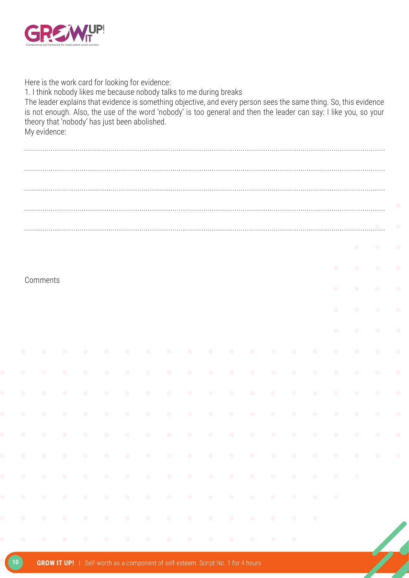

| Here is the work card for looking for evidence:<br>1. I think nobody likes me because nobody talks to me during breaks<br>The leader explains that evidence is something objective, and every person sees the same thing. So, this evidence<br>is not enough. Also, the use of the word 'nobody' is too general and then the leader can say: I like you, so your<br>theory that 'nobody' has just been abolished.<br>My evidence: |  |  |  |  |  |  |  |  |  |
|-----------------------------------------------------------------------------------------------------------------------------------------------------------------------------------------------------------------------------------------------------------------------------------------------------------------------------------------------------------------------------------------------------------------------------------|--|--|--|--|--|--|--|--|--|
|                                                                                                                                                                                                                                                                                                                                                                                                                                   |  |  |  |  |  |  |  |  |  |
|                                                                                                                                                                                                                                                                                                                                                                                                                                   |  |  |  |  |  |  |  |  |  |
|                                                                                                                                                                                                                                                                                                                                                                                                                                   |  |  |  |  |  |  |  |  |  |
|                                                                                                                                                                                                                                                                                                                                                                                                                                   |  |  |  |  |  |  |  |  |  |
|                                                                                                                                                                                                                                                                                                                                                                                                                                   |  |  |  |  |  |  |  |  |  |
|                                                                                                                                                                                                                                                                                                                                                                                                                                   |  |  |  |  |  |  |  |  |  |
| Comments                                                                                                                                                                                                                                                                                                                                                                                                                          |  |  |  |  |  |  |  |  |  |
|                                                                                                                                                                                                                                                                                                                                                                                                                                   |  |  |  |  |  |  |  |  |  |
|                                                                                                                                                                                                                                                                                                                                                                                                                                   |  |  |  |  |  |  |  |  |  |
|                                                                                                                                                                                                                                                                                                                                                                                                                                   |  |  |  |  |  |  |  |  |  |
|                                                                                                                                                                                                                                                                                                                                                                                                                                   |  |  |  |  |  |  |  |  |  |
|                                                                                                                                                                                                                                                                                                                                                                                                                                   |  |  |  |  |  |  |  |  |  |
|                                                                                                                                                                                                                                                                                                                                                                                                                                   |  |  |  |  |  |  |  |  |  |
|                                                                                                                                                                                                                                                                                                                                                                                                                                   |  |  |  |  |  |  |  |  |  |
|                                                                                                                                                                                                                                                                                                                                                                                                                                   |  |  |  |  |  |  |  |  |  |
|                                                                                                                                                                                                                                                                                                                                                                                                                                   |  |  |  |  |  |  |  |  |  |
|                                                                                                                                                                                                                                                                                                                                                                                                                                   |  |  |  |  |  |  |  |  |  |
|                                                                                                                                                                                                                                                                                                                                                                                                                                   |  |  |  |  |  |  |  |  |  |
|                                                                                                                                                                                                                                                                                                                                                                                                                                   |  |  |  |  |  |  |  |  |  |
| a la la la la la la la la la la la la                                                                                                                                                                                                                                                                                                                                                                                             |  |  |  |  |  |  |  |  |  |
|                                                                                                                                                                                                                                                                                                                                                                                                                                   |  |  |  |  |  |  |  |  |  |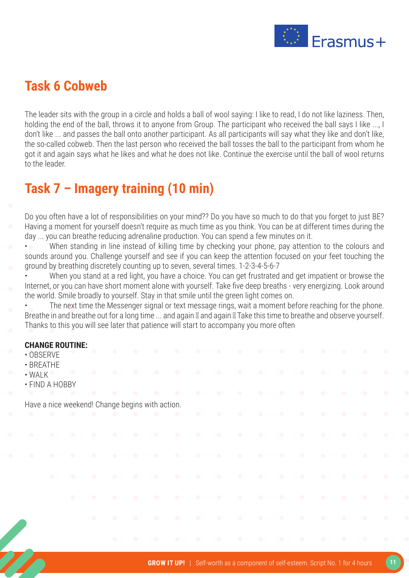

### **Task 6 Cobweb**

The leader sits with the group in a circle and holds a ball of wool saying: I like to read, I do not like laziness. Then, holding the end of the ball, throws it to anyone from Group. The participant who received the ball says I like ..., I don't like ... and passes the ball onto another participant. As all participants will say what they like and don't like, the so-called cobweb. Then the last person who received the ball tosses the ball to the participant from whom he got it and again says what he likes and what he does not like. Continue the exercise until the ball of wool returns to the leader.

### **Task 7 – Imagery training (10 min)**

Do you often have a lot of responsibilities on your mind?? Do you have so much to do that you forget to just BE? Having a moment for yourself doesn't require as much time as you think. You can be at different times during the day ... you can breathe reducing adrenaline production. You can spend a few minutes on it.

• When standing in line instead of killing time by checking your phone, pay attention to the colours and sounds around you. Challenge yourself and see if you can keep the attention focused on your feet touching the ground by breathing discretely counting up to seven, several times. 1-2-3-4-5-6-7

• When you stand at a red light, you have a choice. You can get frustrated and get impatient or browse the Internet, or you can have short moment alone with yourself. Take five deep breaths - very energizing. Look around the world. Smile broadly to yourself. Stay in that smile until the green light comes on.

The next time the Messenger signal or text message rings, wait a moment before reaching for the phone. Breathe in and breathe out for a long time ... and again **I** and again II Take this time to breathe and observe yourself. Thanks to this you will see later that patience will start to accompany you more often

#### **CHANGE ROUTINE:**

- OBSERVE
	- BREATHE
- WALK
- FIND A HOBBY

Have a nice weekend! Change begins with action.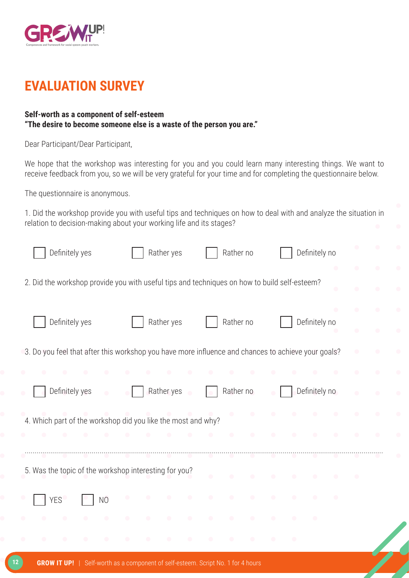

### **EVALUATION SURVEY**

#### **Self-worth as a component of self-esteem "The desire to become someone else is a waste of the person you are."**

Dear Participant/Dear Participant,

We hope that the workshop was interesting for you and you could learn many interesting things. We want to receive feedback from you, so we will be very grateful for your time and for completing the questionnaire below.

The questionnaire is anonymous.

1. Did the workshop provide you with useful tips and techniques on how to deal with and analyze the situation in relation to decision-making about your working life and its stages?

| Definitely yes                                                                                     |                | Rather yes |                                                                                                                                                                                                                                      | Rather no |           |  | Definitely no |  |           |           |
|----------------------------------------------------------------------------------------------------|----------------|------------|--------------------------------------------------------------------------------------------------------------------------------------------------------------------------------------------------------------------------------------|-----------|-----------|--|---------------|--|-----------|-----------|
| 2. Did the workshop provide you with useful tips and techniques on how to build self-esteem?       |                |            |                                                                                                                                                                                                                                      |           |           |  |               |  |           | $\bullet$ |
| Definitely yes                                                                                     |                | Rather yes |                                                                                                                                                                                                                                      | Rather no |           |  | Definitely no |  | $\bullet$ |           |
| 3. Do you feel that after this workshop you have more influence and chances to achieve your goals? |                |            |                                                                                                                                                                                                                                      |           |           |  |               |  |           |           |
|                                                                                                    |                |            |                                                                                                                                                                                                                                      |           |           |  |               |  |           |           |
| Definitely yes                                                                                     |                | Rather yes |                                                                                                                                                                                                                                      | Rather no |           |  | Definitely no |  |           |           |
| 4. Which part of the workshop did you like the most and why?                                       |                |            | <u>and a company of the set of the set of the set of the set of the set of the set of the set of the set of the set of the set of the set of the set of the set of the set of the set of the set of the set of the set of the se</u> |           | $\bullet$ |  |               |  |           |           |
|                                                                                                    |                |            |                                                                                                                                                                                                                                      | $\bullet$ | $\bullet$ |  |               |  |           |           |
| 5. Was the topic of the workshop interesting for you?                                              |                |            |                                                                                                                                                                                                                                      |           |           |  |               |  |           |           |
| <b>YES</b>                                                                                         | N <sub>O</sub> |            |                                                                                                                                                                                                                                      |           |           |  |               |  |           |           |
|                                                                                                    |                |            |                                                                                                                                                                                                                                      |           |           |  |               |  |           |           |
|                                                                                                    |                |            |                                                                                                                                                                                                                                      |           |           |  |               |  |           |           |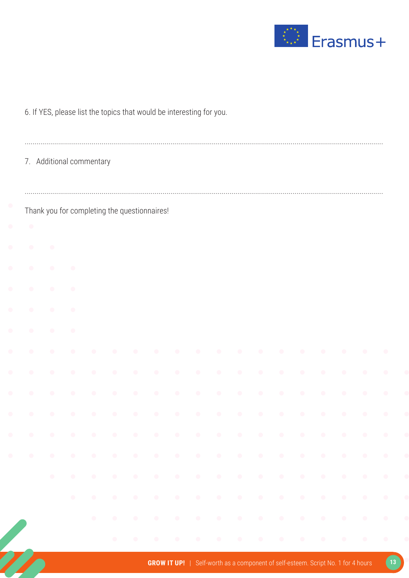

|            |            |            | 7. Additional commentary |            |           |                                              |           |            |            |            |            |            |            |            |           |           |  |
|------------|------------|------------|--------------------------|------------|-----------|----------------------------------------------|-----------|------------|------------|------------|------------|------------|------------|------------|-----------|-----------|--|
|            |            |            |                          |            |           | Thank you for completing the questionnaires! |           |            |            |            |            |            |            |            |           |           |  |
| $\bullet$  |            |            |                          |            |           |                                              |           |            |            |            |            |            |            |            |           |           |  |
|            | O          |            |                          |            |           |                                              |           |            |            |            |            |            |            |            |           |           |  |
| $\bullet$  | $\bullet$  | $\bullet$  |                          |            |           |                                              |           |            |            |            |            |            |            |            |           |           |  |
|            | O          | $\bullet$  |                          |            |           |                                              |           |            |            |            |            |            |            |            |           |           |  |
| $\bullet$  | $\bullet$  | $\bullet$  |                          |            |           |                                              |           |            |            |            |            |            |            |            |           |           |  |
|            |            | $\bullet$  |                          |            |           |                                              |           |            |            |            |            |            |            |            |           |           |  |
| $\bullet$  |            |            |                          |            |           |                                              |           |            |            |            |            |            |            |            | $\bullet$ | $\bullet$ |  |
|            |            |            |                          |            |           |                                              |           |            |            |            |            |            |            |            |           |           |  |
|            |            |            |                          |            |           |                                              |           |            |            |            |            |            |            |            |           |           |  |
| $\bigcirc$ | $\bullet$  | $\bullet$  | $\bigcirc$               | $\bigcirc$ | $\bullet$ | $\bullet$                                    | $\bullet$ | $\bullet$  | $\bullet$  | $\bigcirc$ | $\bigcirc$ | $\bullet$  | $\bullet$  | $\bigcirc$ | $\bullet$ | $\bullet$ |  |
| $\bigcirc$ | $\bigcirc$ | $\bullet$  | $\bullet$                | $\bullet$  | $\bullet$ | $\bullet$                                    | $\bullet$ | $\bullet$  | $\bullet$  | $\bullet$  | $\bullet$  | $\bigcirc$ | $\bullet$  | $\bullet$  | $\bullet$ | $\bullet$ |  |
| $\bullet$  | $\bigcirc$ | $\bullet$  | $\bullet$                | $\bullet$  | $\bullet$ | $\bullet$                                    | $\bullet$ | $\bullet$  | $\bullet$  | $\bigcirc$ | $\bigcirc$ | $\bigcirc$ | $\bigcirc$ | $\bullet$  | $\bullet$ | $\bullet$ |  |
|            | $\bigcirc$ | $\bullet$  | $\bullet$                | $\bullet$  | $\bullet$ | $\bullet$                                    | $\bullet$ | $\bullet$  | $\bullet$  | $\bullet$  | $\bullet$  | $\bullet$  | $\bigcirc$ | $\bullet$  | $\bullet$ | $\bullet$ |  |
|            |            | $\bigcirc$ | $\bullet$                | $\bullet$  | $\bullet$ | $\bigcirc$                                   | $\bullet$ | $\bullet$  | $\bullet$  | $\bullet$  | $\bullet$  | $\bullet$  | $\bullet$  | $\bullet$  | $\bullet$ | $\bullet$ |  |
|            |            |            | $\bullet$                | $\bullet$  | $\bullet$ | $\bullet$                                    | $\bullet$ | $\bigcirc$ | $\bigcirc$ | $\bullet$  | $\bigcirc$ | $\bigcirc$ | $\bullet$  | $\bullet$  | $\bullet$ | $\bullet$ |  |